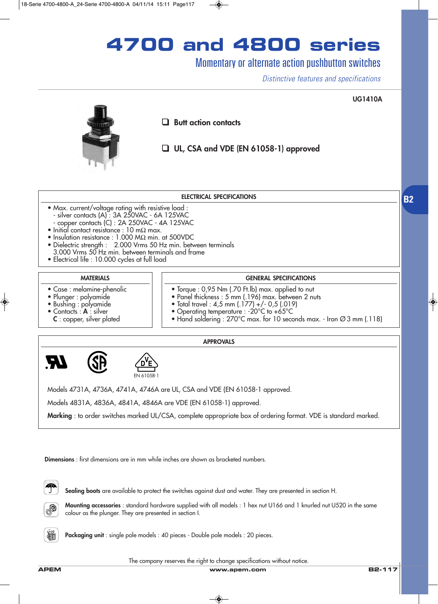# **4700 and 4800 series**

## Momentary or alternate action pushbutton switches

*Distinctive features and specifications*



#### **ELECTRICAL SPECIFICATIONS**

- Max. current/voltage rating with resistive load : - silver contacts (A) : 3A 250VAC - 6A 125VAC - copper contacts (C) : 2A 250VAC - 4A 125VAC
- Initial contact resistance : 10 m $\Omega$  max.
- Insulation resistance : 1.000 MΩ min. at 500VDC
- Dielectric strength : 2.000 Vrms 50 Hz min. between terminals 3.000 Vrms 50 Hz min. between terminals and frame
- Electrical life : 10.000 cycles at full load

### **MATERIALS**

- Case : melamine-phenolic
- Plunger : polyamide
- Bushing : polyamide
- Contacts : **A** : silver
- **C** : copper, silver plated

### **GENERAL SPECIFICATIONS**

- Torque : 0,95 Nm (.70 Ft.lb) max. applied to nut
- Panel thickness : 5 mm (.196) max. between 2 nuts
- Total travel : 4,5 mm (.177) +/- 0,5 (.019)
- Operating temperature : -20°C to +65°C
- Hand soldering : 270°C max. for 10 seconds max. Iron  $\varnothing$ 3 mm (.118)

#### **APPROVALS**





Models 4731A, 4736A, 4741A, 4746A are UL, CSA and VDE (EN 61058-1 approved.

Models 4831A, 4836A, 4841A, 4846A are VDE (EN 61058-1) approved.

**Marking** : to order switches marked UL/CSA, complete appropriate box of ordering format. VDE is standard marked.

**Dimensions** : first dimensions are in mm while inches are shown as bracketed numbers.



**Sealing boots** are available to protect the switches against dust and water. They are presented in section H.



**Mounting accessories** : standard hardware supplied with all models : 1 hex nut U166 and 1 knurled nut U520 in the same colour as the plunger. They are presented in section I.



**Packaging unit** : single pole models : 40 pieces - Double pole models : 20 pieces.

The company reserves the right to change specifications without notice.

**B2**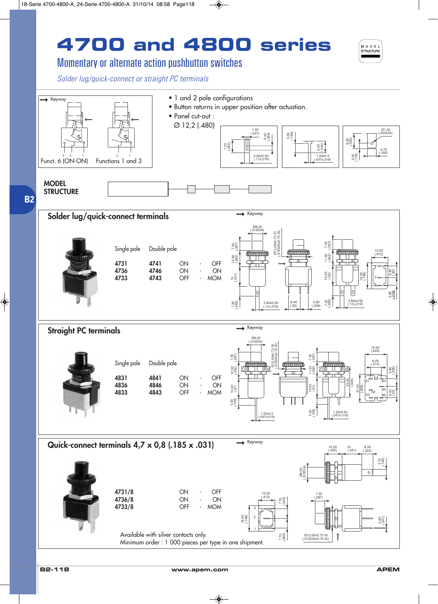# **4700 and 4800 series**



## Momentary or alternate action pushbutton switches

*Solder lug/quick-connect or straight PC terminals*